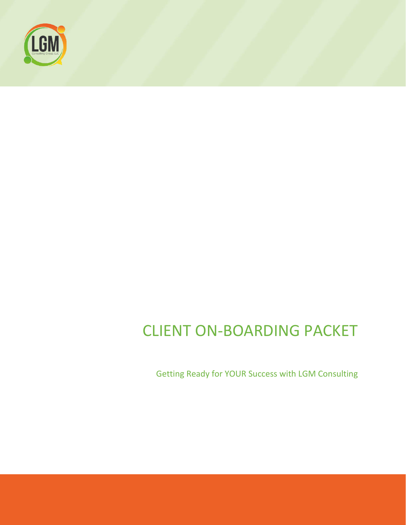

# CLIENT ON-BOARDING PACKET

Getting Ready for YOUR Success with LGM Consulting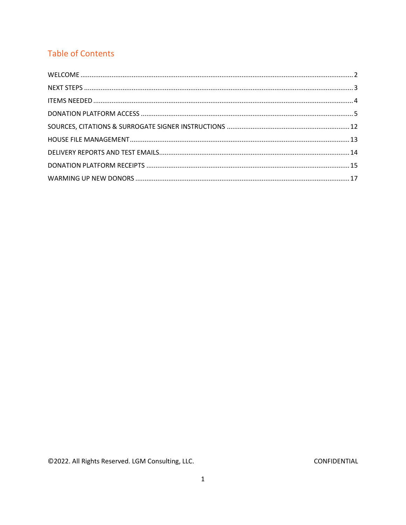# **Table of Contents**

©2022. All Rights Reserved. LGM Consulting, LLC.

CONFIDENTIAL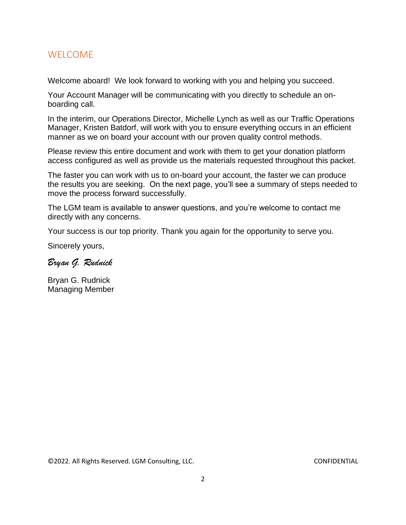# <span id="page-2-0"></span>WELCOME

Welcome aboard! We look forward to working with you and helping you succeed.

Your Account Manager will be communicating with you directly to schedule an onboarding call.

In the interim, our Operations Director, Michelle Lynch as well as our Traffic Operations Manager, Kristen Batdorf, will work with you to ensure everything occurs in an efficient manner as we on board your account with our proven quality control methods.

Please review this entire document and work with them to get your donation platform access configured as well as provide us the materials requested throughout this packet.

The faster you can work with us to on-board your account, the faster we can produce the results you are seeking. On the next page, you'll see a summary of steps needed to move the process forward successfully.

The LGM team is available to answer questions, and you're welcome to contact me directly with any concerns.

Your success is our top priority. Thank you again for the opportunity to serve you.

Sincerely yours,

Bryan G. Rudnick

Bryan G. Rudnick Managing Member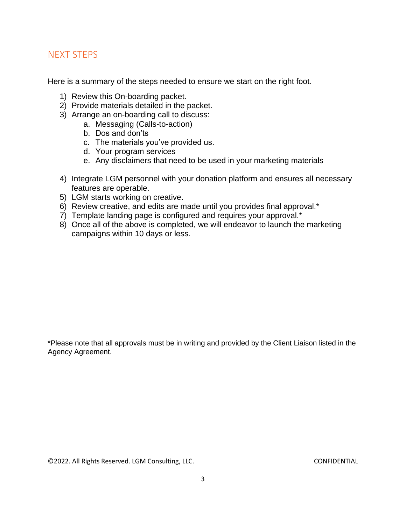# <span id="page-3-0"></span>NEXT STEPS

Here is a summary of the steps needed to ensure we start on the right foot.

- 1) Review this On-boarding packet.
- 2) Provide materials detailed in the packet.
- 3) Arrange an on-boarding call to discuss:
	- a. Messaging (Calls-to-action)
	- b. Dos and don'ts
	- c. The materials you've provided us.
	- d. Your program services
	- e. Any disclaimers that need to be used in your marketing materials
- 4) Integrate LGM personnel with your donation platform and ensures all necessary features are operable.
- 5) LGM starts working on creative.
- 6) Review creative, and edits are made until you provides final approval.\*
- 7) Template landing page is configured and requires your approval.\*
- 8) Once all of the above is completed, we will endeavor to launch the marketing campaigns within 10 days or less.

\*Please note that all approvals must be in writing and provided by the Client Liaison listed in the Agency Agreement.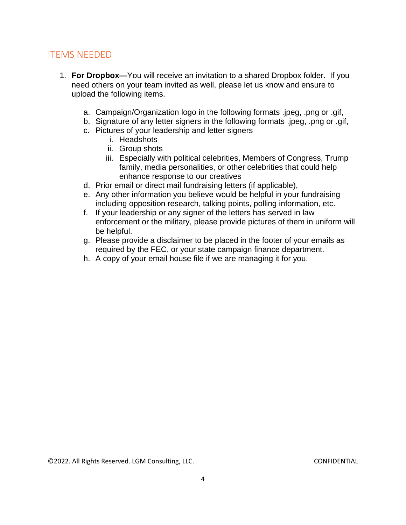# <span id="page-4-0"></span>ITEMS NEEDED

- 1. **For Dropbox—**You will receive an invitation to a shared Dropbox folder. If you need others on your team invited as well, please let us know and ensure to upload the following items.
	- a. Campaign/Organization logo in the following formats .jpeg, .png or .gif,
	- b. Signature of any letter signers in the following formats .jpeg, .png or .gif,
	- c. Pictures of your leadership and letter signers
		- i. Headshots
		- ii. Group shots
		- iii. Especially with political celebrities, Members of Congress, Trump family, media personalities, or other celebrities that could help enhance response to our creatives
	- d. Prior email or direct mail fundraising letters (if applicable),
	- e. Any other information you believe would be helpful in your fundraising including opposition research, talking points, polling information, etc.
	- f. If your leadership or any signer of the letters has served in law enforcement or the military, please provide pictures of them in uniform will be helpful.
	- g. Please provide a disclaimer to be placed in the footer of your emails as required by the FEC, or your state campaign finance department.
	- h. A copy of your email house file if we are managing it for you.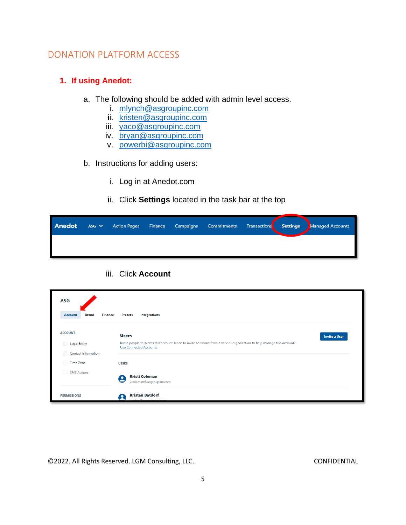# <span id="page-5-0"></span>DONATION PLATFORM ACCESS

#### **1. If using Anedot:**

- a. The following should be added with admin level access.
	- i. [mlynch@asgroupinc.com](mailto:mlynch@asgroupinc.com)
	- ii. [kristen@asgroupinc.com](mailto:kristen@asgroupinc.com)
	- iii. [yaco@asgroupinc.com](mailto:yaco@asgroupinc.com)
	- iv. [bryan@asgroupinc.com](mailto:bryan@asgroupinc.com)
	- v. [powerbi@asgroupinc.com](mailto:powerbi@asgroupinc.com)
- b. Instructions for adding users:
	- i. Log in at Anedot.com
	- ii. Click **Settings** located in the task bar at the top

#### iii. Click **Account**

| <b>ASG</b>                                |                                                                                                                                                 |
|-------------------------------------------|-------------------------------------------------------------------------------------------------------------------------------------------------|
| <b>Brand</b><br><b>Finance</b><br>Account | <b>Presets</b><br>Integrations                                                                                                                  |
| <b>ACCOUNT</b>                            | <b>Users</b><br><b>Invite a User</b>                                                                                                            |
| <b>Legal Entity</b>                       | Invite people to access this account. Need to invite someone from a vendor organization to help manage this account?<br>Use Connected Accounts. |
| Contact Information                       |                                                                                                                                                 |
| Time Zone                                 | <b>USERS</b>                                                                                                                                    |
| <b>SMS Actions</b>                        | <b>Kristi Coleman</b><br>$\bullet$<br>⊂<br>kcoleman@asgroupinc.com                                                                              |
| <b>PERMISSIONS</b>                        | <b>Kristen Batdorf</b><br>$\bullet$                                                                                                             |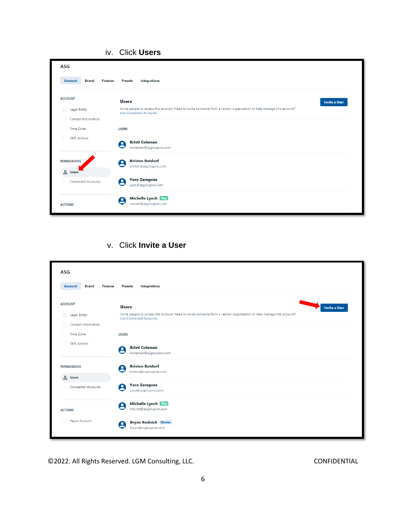| <b>ASG</b>                                |                                                                                                                                                 |
|-------------------------------------------|-------------------------------------------------------------------------------------------------------------------------------------------------|
| <b>Finance</b><br>Account<br><b>Brand</b> | Integrations<br><b>Presets</b>                                                                                                                  |
| <b>ACCOUNT</b>                            | <b>Users</b><br><b>Invite a User</b>                                                                                                            |
| Legal Entity                              | Invite people to access this account. Need to invite someone from a vendor organization to help manage this account?<br>Use Connected Accounts. |
| <b>Contact Information</b><br>日           |                                                                                                                                                 |
| Time Zone<br>$\omega$                     | <b>USERS</b>                                                                                                                                    |
| <b>SMS Actions</b><br>                    | <b>Kristi Coleman</b><br>8<br>kcoleman@asgroupinc.com                                                                                           |
| <b>PERMISSIONS</b>                        | <b>Kristen Batdorf</b><br>8<br>kristen@asgroupinc.com                                                                                           |
| & Users<br>Connected Accounts             | <b>Yaco Zaragoza</b><br>ρ<br>yaco@asgroupinc.com                                                                                                |
| <b>ACTIONS</b>                            | Michelle Lynch You<br>8<br>mlynch@asgroupinc.com                                                                                                |

#### iv. Click **Users**

### v. Click **Invite a User**

| <b>ASG</b><br><b>Brand</b><br><b>Finance</b><br>Account                   | Integrations<br><b>Presets</b>                                                                                                                                                          |  |  |  |  |  |
|---------------------------------------------------------------------------|-----------------------------------------------------------------------------------------------------------------------------------------------------------------------------------------|--|--|--|--|--|
| <b>ACCOUNT</b><br>h.<br><b>Legal Entity</b><br><b>Contact Information</b> | <b>Users</b><br><b>Invite a User</b><br>Invite people to access this account. Need to invite someone from a vendor organization to help manage this account?<br>Use Connected Accounts. |  |  |  |  |  |
| Time Zone<br><b>SMS Actions</b>                                           | <b>USERS</b><br><b>Kristi Coleman</b><br>8<br>kcoleman@asgroupinc.com                                                                                                                   |  |  |  |  |  |
| <b>PERMISSIONS</b>                                                        | <b>Kristen Batdorf</b><br>8<br>kristen@asgroupinc.com                                                                                                                                   |  |  |  |  |  |
| & Users<br>Connected Accounts                                             | <b>Yaco Zaragoza</b><br>$\boldsymbol{\Theta}$<br>yaco@asgroupinc.com                                                                                                                    |  |  |  |  |  |
| <b>ACTIONS</b>                                                            | Michelle Lynch You<br>8<br>mlynch@asgroupinc.com                                                                                                                                        |  |  |  |  |  |
| (III) Pause Account                                                       | <b>Bryan Rudnick Owner</b><br>8<br>bryan@asgroupinc.com                                                                                                                                 |  |  |  |  |  |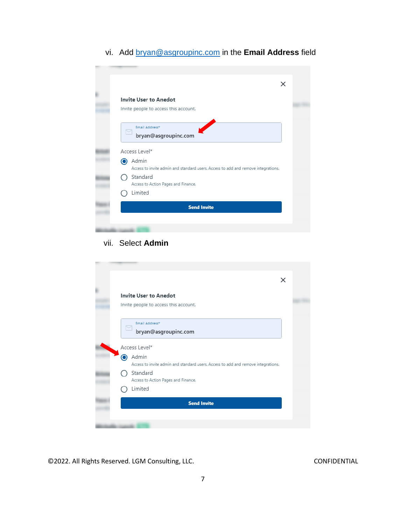### vi. Add [bryan@asgroupinc.com](mailto:bryan@asgroupinc.com) in the **Email Address** field

|              | $\times$                                                                                   |
|--------------|--------------------------------------------------------------------------------------------|
|              | <b>Invite User to Anedot</b><br>Invite people to access this account.                      |
| $\checkmark$ | Email Address*<br>bryan@asgroupinc.com                                                     |
|              | Access Level*                                                                              |
| $\odot$      | Admin<br>Access to invite admin and standard users. Access to add and remove integrations. |
|              | Standard<br>Access to Action Pages and Finance.                                            |
|              | Limited                                                                                    |
|              |                                                                                            |

#### vii. Select **Admin**

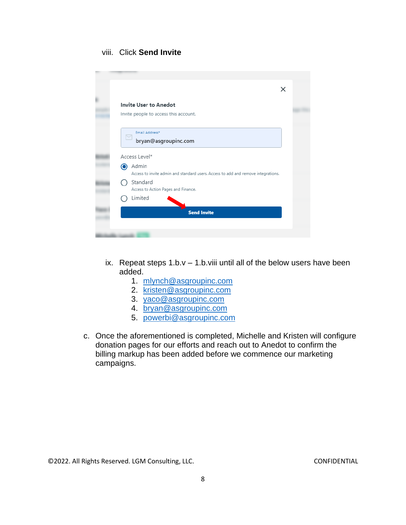#### viii. Click **Send Invite**

|                                                                                                 | × |  |
|-------------------------------------------------------------------------------------------------|---|--|
| <b>Invite User to Anedot</b>                                                                    |   |  |
| Invite people to access this account.                                                           |   |  |
| Email Address*<br>$\overline{\phantom{0}}$<br>bryan@asgroupinc.com                              |   |  |
| Access Level*                                                                                   |   |  |
| Admin<br>0<br>Access to invite admin and standard users. Access to add and remove integrations. |   |  |
| Standard<br>Access to Action Pages and Finance.                                                 |   |  |
| Limited                                                                                         |   |  |
| <b>Send Invite</b>                                                                              |   |  |

- ix. Repeat steps  $1.b.v 1.b.v$  ii until all of the below users have been added.
	- 1. [mlynch@asgroupinc.com](mailto:mlynch@asgroupinc.com)
	- 2. [kristen@asgroupinc.com](mailto:kristen@asgroupinc.com)
	- 3. [yaco@asgroupinc.com](mailto:yaco@asgroupinc.com)
	- 4. [bryan@asgroupinc.com](mailto:bryan@asgroupinc.com)
	- 5. [powerbi@asgroupinc.com](mailto:powerbi@asgroupinc.com)
- c. Once the aforementioned is completed, Michelle and Kristen will configure donation pages for our efforts and reach out to Anedot to confirm the billing markup has been added before we commence our marketing campaigns.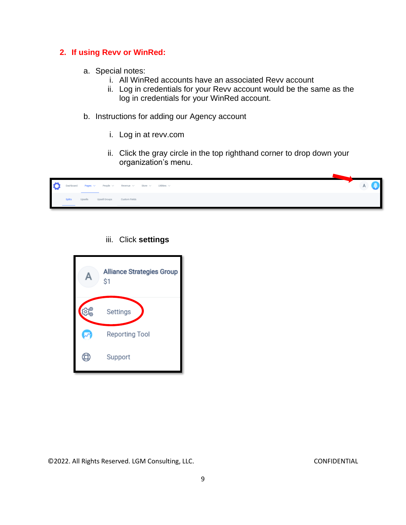#### **2. If using Revv or WinRed:**

- a. Special notes:
	- i. All WinRed accounts have an associated Revv account
	- ii. Log in credentials for your Revv account would be the same as the log in credentials for your WinRed account.
- b. Instructions for adding our Agency account
	- i. Log in at revv.com
	- ii. Click the gray circle in the top righthand corner to drop down your organization's menu.

| $\circ$ |               |         |               |               | Dashboard Pages $\vee$ People $\vee$ Revenue $\vee$ Store $\vee$ Utilities $\vee$ |  |
|---------|---------------|---------|---------------|---------------|-----------------------------------------------------------------------------------|--|
|         | <b>Splits</b> | Upsells | Upsell Groups | Custom Fields |                                                                                   |  |

#### iii. Click **settings**

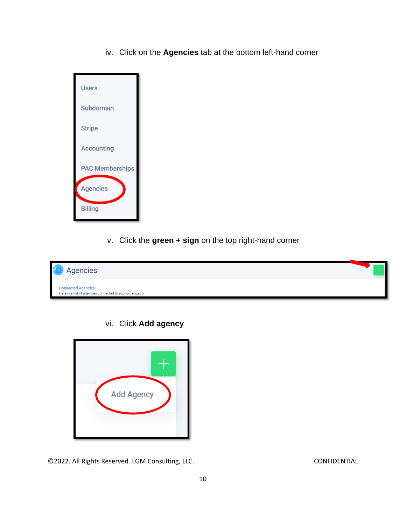iv. Click on the **Agencies** tab at the bottom left-hand corner



v. Click the **green + sign** on the top right-hand corner



vi. Click **Add agency**

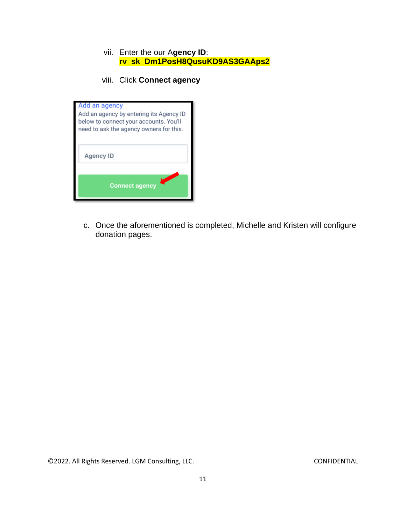#### vii. Enter the our A**gency ID**: **rv\_sk\_Dm1PosH8QusuKD9AS3GAAps2**

viii. Click **Connect agency**



c. Once the aforementioned is completed, Michelle and Kristen will configure donation pages.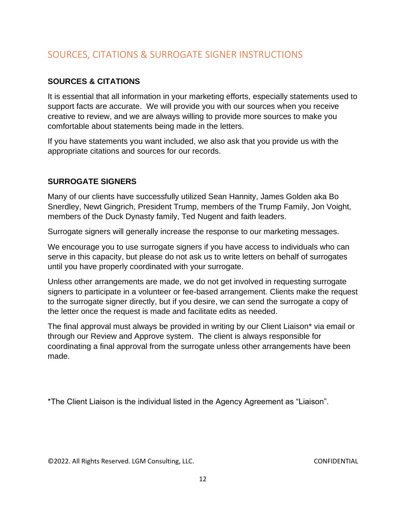# <span id="page-12-0"></span>SOURCES, CITATIONS & SURROGATE SIGNER INSTRUCTIONS

### **SOURCES & CITATIONS**

It is essential that all information in your marketing efforts, especially statements used to support facts are accurate. We will provide you with our sources when you receive creative to review, and we are always willing to provide more sources to make you comfortable about statements being made in the letters.

If you have statements you want included, we also ask that you provide us with the appropriate citations and sources for our records.

### **SURROGATE SIGNERS**

Many of our clients have successfully utilized Sean Hannity, James Golden aka Bo Snerdley, Newt Gingrich, President Trump, members of the Trump Family, Jon Voight, members of the Duck Dynasty family, Ted Nugent and faith leaders.

Surrogate signers will generally increase the response to our marketing messages.

We encourage you to use surrogate signers if you have access to individuals who can serve in this capacity, but please do not ask us to write letters on behalf of surrogates until you have properly coordinated with your surrogate.

Unless other arrangements are made, we do not get involved in requesting surrogate signers to participate in a volunteer or fee-based arrangement. Clients make the request to the surrogate signer directly, but if you desire, we can send the surrogate a copy of the letter once the request is made and facilitate edits as needed.

The final approval must always be provided in writing by our Client Liaison\* via email or through our Review and Approve system. The client is always responsible for coordinating a final approval from the surrogate unless other arrangements have been made.

\*The Client Liaison is the individual listed in the Agency Agreement as "Liaison".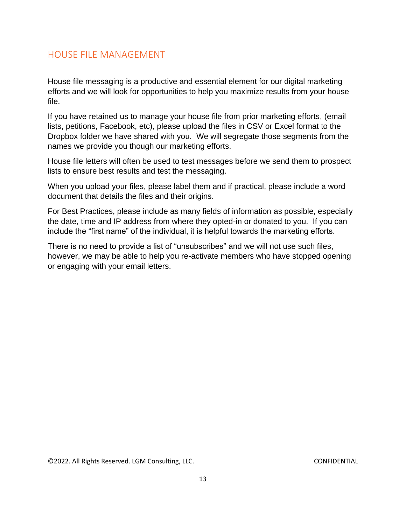# <span id="page-13-0"></span>HOUSE FILE MANAGEMENT

House file messaging is a productive and essential element for our digital marketing efforts and we will look for opportunities to help you maximize results from your house file.

If you have retained us to manage your house file from prior marketing efforts, (email lists, petitions, Facebook, etc), please upload the files in CSV or Excel format to the Dropbox folder we have shared with you. We will segregate those segments from the names we provide you though our marketing efforts.

House file letters will often be used to test messages before we send them to prospect lists to ensure best results and test the messaging.

When you upload your files, please label them and if practical, please include a word document that details the files and their origins.

For Best Practices, please include as many fields of information as possible, especially the date, time and IP address from where they opted-in or donated to you. If you can include the "first name" of the individual, it is helpful towards the marketing efforts.

There is no need to provide a list of "unsubscribes" and we will not use such files, however, we may be able to help you re-activate members who have stopped opening or engaging with your email letters.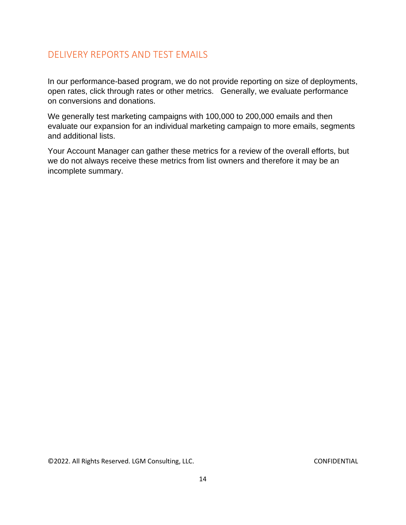# <span id="page-14-0"></span>DELIVERY REPORTS AND TEST EMAILS

In our performance-based program, we do not provide reporting on size of deployments, open rates, click through rates or other metrics. Generally, we evaluate performance on conversions and donations.

We generally test marketing campaigns with 100,000 to 200,000 emails and then evaluate our expansion for an individual marketing campaign to more emails, segments and additional lists.

Your Account Manager can gather these metrics for a review of the overall efforts, but we do not always receive these metrics from list owners and therefore it may be an incomplete summary.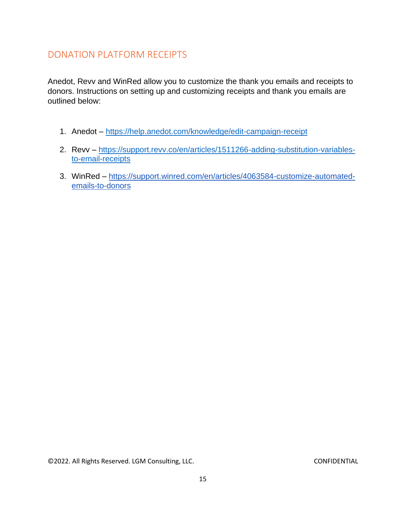# <span id="page-15-0"></span>DONATION PLATFORM RECEIPTS

Anedot, Revv and WinRed allow you to customize the thank you emails and receipts to donors. Instructions on setting up and customizing receipts and thank you emails are outlined below:

- 1. Anedot <https://help.anedot.com/knowledge/edit-campaign-receipt>
- 2. Revv [https://support.revv.co/en/articles/1511266-adding-substitution-variables](https://support.revv.co/en/articles/1511266-adding-substitution-variables-to-email-receipts)[to-email-receipts](https://support.revv.co/en/articles/1511266-adding-substitution-variables-to-email-receipts)
- 3. WinRed [https://support.winred.com/en/articles/4063584-customize-automated](https://support.winred.com/en/articles/4063584-customize-automated-emails-to-donors)[emails-to-donors](https://support.winred.com/en/articles/4063584-customize-automated-emails-to-donors)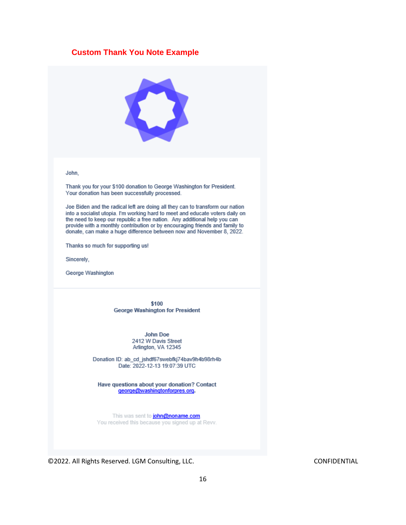#### **Custom Thank You Note Example**



John,

Thank you for your \$100 donation to George Washington for President. Your donation has been successfully processed.

Joe Biden and the radical left are doing all they can to transform our nation into a socialist utopia. I'm working hard to meet and educate voters daily on the need to keep our republic a free nation. Any additional help you can provide with a monthly contribution or by encouraging friends and family to donate, can make a huge difference between now and November 8, 2022.

Thanks so much for supporting us!

Sincerely,

George Washington

\$100 **George Washington for President** 

> John Doe 2412 W Davis Street Arlington, VA 12345

Donation ID: ab\_cd\_jshdf67swebfkj74bav9h4b98rh4b Date: 2022-12-13 19:07:39 UTC

Have questions about your donation? Contact george@washingtonforpres.org.

This was sent to **john@noname.com**. You received this because you signed up at Revv.